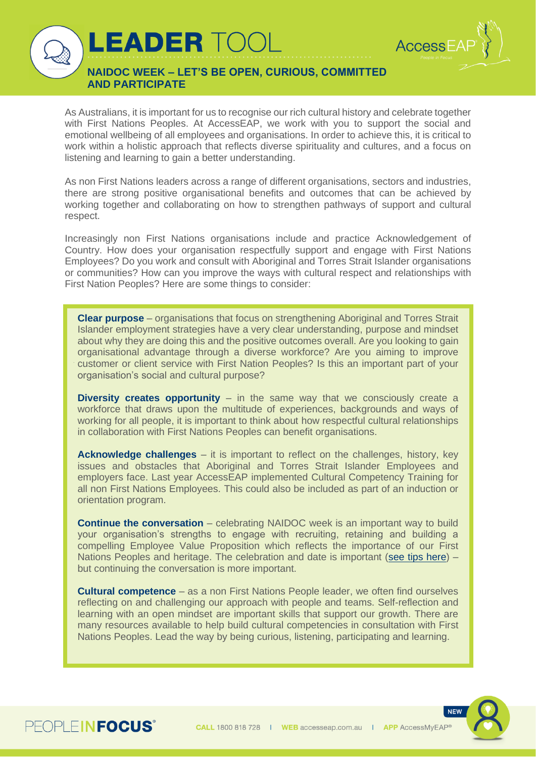

**NAIDOC WEEK – LET'S BE OPEN, CURIOUS, COMMITTED AND PARTICIPATE**

LEADER TO

As Australians, it is important for us to recognise our rich cultural history and celebrate together with First Nations Peoples. At AccessEAP, we work with you to support the social and emotional wellbeing of all employees and organisations. In order to achieve this, it is critical to work within a holistic approach that reflects diverse spirituality and cultures, and a focus on listening and learning to gain a better understanding.

As non First Nations leaders across a range of different organisations, sectors and industries, there are strong positive organisational benefits and outcomes that can be achieved by working together and collaborating on how to strengthen pathways of support and cultural respect.

Increasingly non First Nations organisations include and practice Acknowledgement of Country. How does your organisation respectfully support and engage with First Nations Employees? Do you work and consult with Aboriginal and Torres Strait Islander organisations or communities? How can you improve the ways with cultural respect and relationships with First Nation Peoples? Here are some things to consider:

**Clear purpose** – organisations that focus on strengthening Aboriginal and Torres Strait Islander employment strategies have a very clear understanding, purpose and mindset about why they are doing this and the positive outcomes overall. Are you looking to gain organisational advantage through a diverse workforce? Are you aiming to improve customer or client service with First Nation Peoples? Is this an important part of your organisation's social and cultural purpose?

**Diversity creates opportunity** – in the same way that we consciously create a workforce that draws upon the multitude of experiences, backgrounds and ways of working for all people, it is important to think about how respectful cultural relationships in collaboration with First Nations Peoples can benefit organisations.

**Acknowledge challenges** – it is important to reflect on the challenges, history, key issues and obstacles that Aboriginal and Torres Strait Islander Employees and employers face. Last year AccessEAP implemented Cultural Competency Training for all non First Nations Employees. This could also be included as part of an induction or orientation program.

**Continue the conversation** – celebrating NAIDOC week is an important way to build your organisation's strengths to engage with recruiting, retaining and building a compelling Employee Value Proposition which reflects the importance of our First Nations Peoples and heritage. The celebration and date is important [\(see tips here\)](https://www.naidoc.org.au/get-involved/plan-your-event) – but continuing the conversation is more important.

**Cultural competence** – as a non First Nations People leader, we often find ourselves reflecting on and challenging our approach with people and teams. Self-reflection and learning with an open mindset are important skills that support our growth. There are many resources available to help build cultural competencies in consultation with First Nations Peoples. Lead the way by being curious, listening, participating and learning.